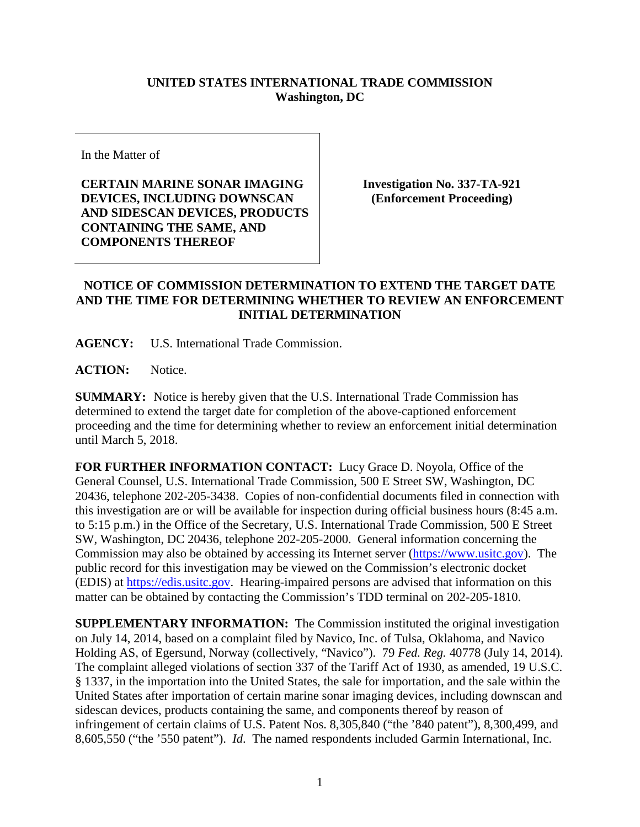## **UNITED STATES INTERNATIONAL TRADE COMMISSION Washington, DC**

In the Matter of

**CERTAIN MARINE SONAR IMAGING DEVICES, INCLUDING DOWNSCAN AND SIDESCAN DEVICES, PRODUCTS CONTAINING THE SAME, AND COMPONENTS THEREOF**

**Investigation No. 337-TA-921 (Enforcement Proceeding)**

## **NOTICE OF COMMISSION DETERMINATION TO EXTEND THE TARGET DATE AND THE TIME FOR DETERMINING WHETHER TO REVIEW AN ENFORCEMENT INITIAL DETERMINATION**

**AGENCY:** U.S. International Trade Commission.

**ACTION:** Notice.

**SUMMARY:** Notice is hereby given that the U.S. International Trade Commission has determined to extend the target date for completion of the above-captioned enforcement proceeding and the time for determining whether to review an enforcement initial determination until March 5, 2018.

**FOR FURTHER INFORMATION CONTACT:** Lucy Grace D. Noyola, Office of the General Counsel, U.S. International Trade Commission, 500 E Street SW, Washington, DC 20436, telephone 202-205-3438. Copies of non-confidential documents filed in connection with this investigation are or will be available for inspection during official business hours (8:45 a.m. to 5:15 p.m.) in the Office of the Secretary, U.S. International Trade Commission, 500 E Street SW, Washington, DC 20436, telephone 202-205-2000. General information concerning the Commission may also be obtained by accessing its Internet server [\(https://www.usitc.gov\)](https://www.usitc.gov/). The public record for this investigation may be viewed on the Commission's electronic docket (EDIS) at [https://edis.usitc.gov.](https://edis.usitc.gov/) Hearing-impaired persons are advised that information on this matter can be obtained by contacting the Commission's TDD terminal on 202-205-1810.

**SUPPLEMENTARY INFORMATION:** The Commission instituted the original investigation on July 14, 2014, based on a complaint filed by Navico, Inc. of Tulsa, Oklahoma, and Navico Holding AS, of Egersund, Norway (collectively, "Navico"). 79 *Fed. Reg.* 40778 (July 14, 2014). The complaint alleged violations of section 337 of the Tariff Act of 1930, as amended, 19 U.S.C. § 1337, in the importation into the United States, the sale for importation, and the sale within the United States after importation of certain marine sonar imaging devices, including downscan and sidescan devices, products containing the same, and components thereof by reason of infringement of certain claims of U.S. Patent Nos. 8,305,840 ("the '840 patent"), 8,300,499, and 8,605,550 ("the '550 patent"). *Id*. The named respondents included Garmin International, Inc.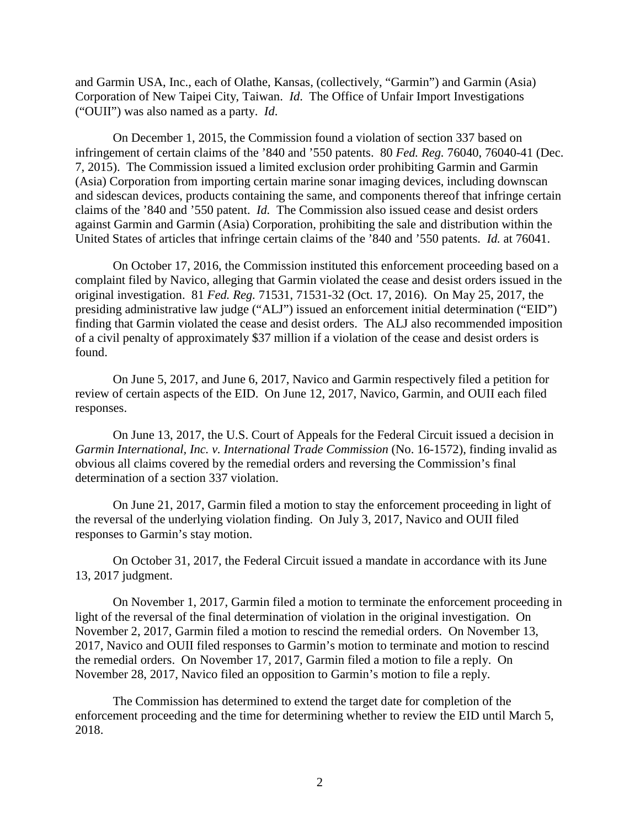and Garmin USA, Inc., each of Olathe, Kansas, (collectively, "Garmin") and Garmin (Asia) Corporation of New Taipei City, Taiwan. *Id*. The Office of Unfair Import Investigations ("OUII") was also named as a party. *Id*.

On December 1, 2015, the Commission found a violation of section 337 based on infringement of certain claims of the '840 and '550 patents. 80 *Fed. Reg.* 76040, 76040-41 (Dec. 7, 2015). The Commission issued a limited exclusion order prohibiting Garmin and Garmin (Asia) Corporation from importing certain marine sonar imaging devices, including downscan and sidescan devices, products containing the same, and components thereof that infringe certain claims of the '840 and '550 patent. *Id.* The Commission also issued cease and desist orders against Garmin and Garmin (Asia) Corporation, prohibiting the sale and distribution within the United States of articles that infringe certain claims of the '840 and '550 patents. *Id.* at 76041.

On October 17, 2016, the Commission instituted this enforcement proceeding based on a complaint filed by Navico, alleging that Garmin violated the cease and desist orders issued in the original investigation. 81 *Fed. Reg.* 71531, 71531-32 (Oct. 17, 2016). On May 25, 2017, the presiding administrative law judge ("ALJ") issued an enforcement initial determination ("EID") finding that Garmin violated the cease and desist orders. The ALJ also recommended imposition of a civil penalty of approximately \$37 million if a violation of the cease and desist orders is found.

On June 5, 2017, and June 6, 2017, Navico and Garmin respectively filed a petition for review of certain aspects of the EID. On June 12, 2017, Navico, Garmin, and OUII each filed responses.

On June 13, 2017, the U.S. Court of Appeals for the Federal Circuit issued a decision in *Garmin International, Inc. v. International Trade Commission* (No. 16-1572), finding invalid as obvious all claims covered by the remedial orders and reversing the Commission's final determination of a section 337 violation.

On June 21, 2017, Garmin filed a motion to stay the enforcement proceeding in light of the reversal of the underlying violation finding. On July 3, 2017, Navico and OUII filed responses to Garmin's stay motion.

On October 31, 2017, the Federal Circuit issued a mandate in accordance with its June 13, 2017 judgment.

On November 1, 2017, Garmin filed a motion to terminate the enforcement proceeding in light of the reversal of the final determination of violation in the original investigation. On November 2, 2017, Garmin filed a motion to rescind the remedial orders. On November 13, 2017, Navico and OUII filed responses to Garmin's motion to terminate and motion to rescind the remedial orders. On November 17, 2017, Garmin filed a motion to file a reply. On November 28, 2017, Navico filed an opposition to Garmin's motion to file a reply.

The Commission has determined to extend the target date for completion of the enforcement proceeding and the time for determining whether to review the EID until March 5, 2018.